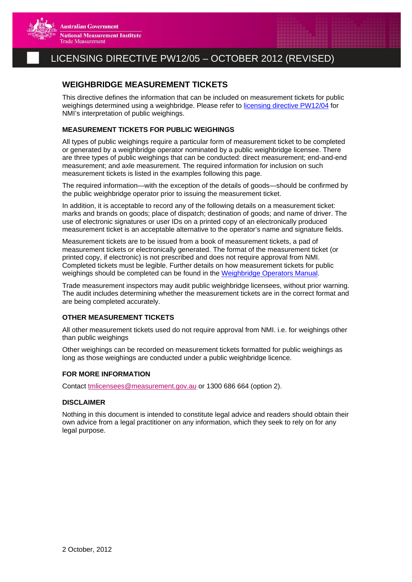

## LICENSING DIRECTIVE PW12/05 – OCTOBER 2012 (REVISED)

### **WEIGHBRIDGE MEASUREMENT TICKETS**

This directive defines the information that can be included on measurement tickets for public weighings determined using a weighbridge. Please refer to [licensing directive PW12/04](http://www.measurement.gov.au/TradeMeasurement/Licensees/Documents/PW12_04.pdf) for NMI's interpretation of public weighings.

#### **MEASUREMENT TICKETS FOR PUBLIC WEIGHINGS**

All types of public weighings require a particular form of measurement ticket to be completed or generated by a weighbridge operator nominated by a public weighbridge licensee. There are three types of public weighings that can be conducted: direct measurement; end-and-end measurement; and axle measurement. The required information for inclusion on such measurement tickets is listed in the examples following this page.

The required information—with the exception of the details of goods—should be confirmed by the public weighbridge operator prior to issuing the measurement ticket.

In addition, it is acceptable to record any of the following details on a measurement ticket: marks and brands on goods; place of dispatch; destination of goods; and name of driver. The use of electronic signatures or user IDs on a printed copy of an electronically produced measurement ticket is an acceptable alternative to the operator's name and signature fields.

Measurement tickets are to be issued from a book of measurement tickets, a pad of measurement tickets or electronically generated. The format of the measurement ticket (or printed copy, if electronic) is not prescribed and does not require approval from NMI. Completed tickets must be legible. Further details on how measurement tickets for public weighings should be completed can be found in the [Weighbridge Operators Manual](http://www.measurement.gov.au/Publications/Documents/WeighbridgeOperatorsManual.pdf).

Trade measurement inspectors may audit public weighbridge licensees, without prior warning. The audit includes determining whether the measurement tickets are in the correct format and are being completed accurately.

#### **OTHER MEASUREMENT TICKETS**

All other measurement tickets used do not require approval from NMI. i.e. for weighings other than public weighings

Other weighings can be recorded on measurement tickets formatted for public weighings as long as those weighings are conducted under a public weighbridge licence.

#### **FOR MORE INFORMATION**

Contact [tmlicensees@measurement.gov.au](mailto:tmlicensees@measurement.gov.au) or 1300 686 664 (option 2).

#### **DISCLAIMER**

Nothing in this document is intended to constitute legal advice and readers should obtain their own advice from a legal practitioner on any information, which they seek to rely on for any legal purpose.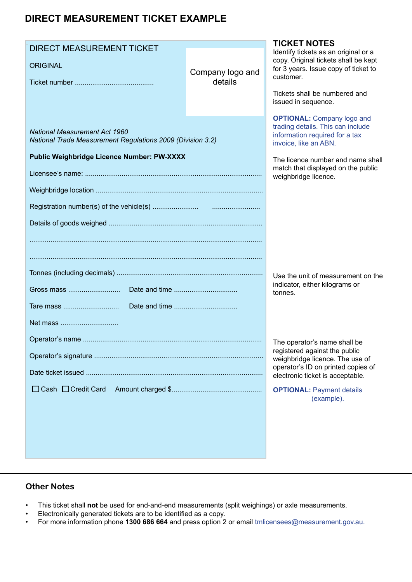# **DIRECT MEASUREMENT TICKET EXAMPLE**

| <b>DIRECT MEASUREMENT TICKET</b><br><b>ORIGINAL</b>                                                                                              | Company logo and<br>details                                                                                                                                                                                                          | <b>TICKET NOTES</b><br>Identify tickets as an original or a<br>copy. Original tickets shall be kept<br>for 3 years. Issue copy of ticket to<br>customer.<br>Tickets shall be numbered and<br>issued in sequence.             |
|--------------------------------------------------------------------------------------------------------------------------------------------------|--------------------------------------------------------------------------------------------------------------------------------------------------------------------------------------------------------------------------------------|------------------------------------------------------------------------------------------------------------------------------------------------------------------------------------------------------------------------------|
| <b>National Measurement Act 1960</b><br>National Trade Measurement Regulations 2009 (Division 3.2)<br>Public Weighbridge Licence Number: PW-XXXX | <b>OPTIONAL:</b> Company logo and<br>trading details. This can include<br>information required for a tax<br>invoice, like an ABN.<br>The licence number and name shall<br>match that displayed on the public<br>weighbridge licence. |                                                                                                                                                                                                                              |
| Net mass                                                                                                                                         | Use the unit of measurement on the<br>indicator, either kilograms or<br>tonnes.                                                                                                                                                      |                                                                                                                                                                                                                              |
| $\Box$ Cash $\Box$ Credit Card                                                                                                                   |                                                                                                                                                                                                                                      | The operator's name shall be<br>registered against the public<br>weighbridge licence. The use of<br>operator's ID on printed copies of<br>electronic ticket is acceptable.<br><b>OPTIONAL: Payment details</b><br>(example). |

### **Other Notes**

- This ticket shall not be used for end-and-end measurements (split weighings) or axle measurements.
- • Electronically generated tickets are to be identified as a copy.
- • For more information phone **1300 686 664** and press option 2 or email tmlicensees@measurement.gov.au.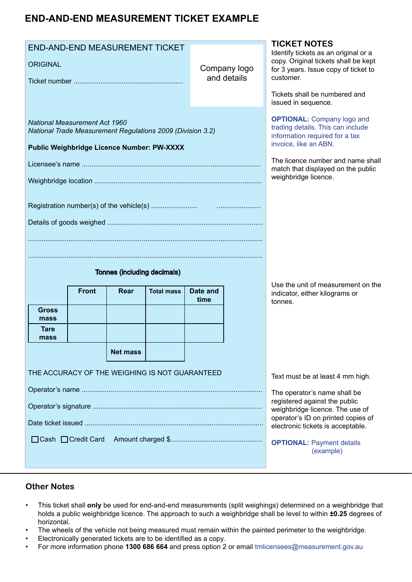## **END-AND-END MEASUREMENT TICKET EXAMPLE**

| <b>ORIGINAL</b>                                                                                                                           |  |                 | <b>END-AND-END MEASUREMENT TICKET</b>                                                                                                                                                                                                |                                                                                                                                                                                                                              | Company logo<br>and details | <b>TICKET NOTES</b><br>Identify tickets as an original or a<br>copy. Original tickets shall be kept<br>for 3 years. Issue copy of ticket to<br>customer.<br>Tickets shall be numbered and<br>issued in sequence. |
|-------------------------------------------------------------------------------------------------------------------------------------------|--|-----------------|--------------------------------------------------------------------------------------------------------------------------------------------------------------------------------------------------------------------------------------|------------------------------------------------------------------------------------------------------------------------------------------------------------------------------------------------------------------------------|-----------------------------|------------------------------------------------------------------------------------------------------------------------------------------------------------------------------------------------------------------|
| National Measurement Act 1960<br>National Trade Measurement Regulations 2009 (Division 3.2)<br>Public Weighbridge Licence Number: PW-XXXX |  |                 | <b>OPTIONAL:</b> Company logo and<br>trading details. This can include<br>information required for a tax<br>invoice, like an ABN.<br>The licence number and name shall<br>match that displayed on the public<br>weighbridge licence. |                                                                                                                                                                                                                              |                             |                                                                                                                                                                                                                  |
| Tonnes (including decimals)<br><b>Front</b><br>Date and<br>Rear<br><b>Total mass</b>                                                      |  |                 |                                                                                                                                                                                                                                      | Use the unit of measurement on the<br>indicator, either kilograms or                                                                                                                                                         |                             |                                                                                                                                                                                                                  |
| <b>Gross</b><br>mass<br>Tare<br>mass                                                                                                      |  | <b>Net mass</b> | THE ACCURACY OF THE WEIGHING IS NOT GUARANTEED                                                                                                                                                                                       | time                                                                                                                                                                                                                         |                             | tonnes.<br>Text must be at least 4 mm high.                                                                                                                                                                      |
| □ Cash □ Credit Card                                                                                                                      |  |                 |                                                                                                                                                                                                                                      | The operator's name shall be<br>registered against the public<br>weighbridge licence. The use of<br>operator's ID on printed copies of<br>electronic tickets is acceptable.<br><b>OPTIONAL: Payment details</b><br>(example) |                             |                                                                                                                                                                                                                  |

### **Other Notes**

- • This ticket shall **only** be used for end-and-end measurements (split weighings) determined on a weighbridge that holds a public weighbridge licence. The approach to such a weighbridge shall be level to within **±0.25** degrees of horizontal.
- The wheels of the vehicle not being measured must remain within the painted perimeter to the weighbridge.
- Electronically generated tickets are to be identified as a copy.
- • For more information phone **1300 686 664** and press option 2 or email tmlicensees@measurement.gov.au